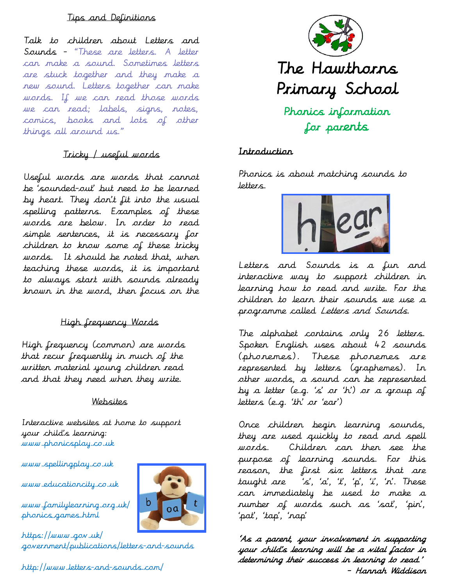### Tips and Definitions

Talk to children about Letters and Sounds - "These are letters. A letter can make a sound. Sometimes letters are stuck together and they make a new sound. Letters together can make words. If we can read those words we can read; labels, signs, notes, comics, books and lots of other things all around us."

## Tricky / useful words

Useful words are words that cannot be 'sounded-out' but need to be learned by heart. They don't fit into the usual spelling patterns. Examples of these words are below. In order to read simple sentences, it is necessary for children to know some of these tricky words. It should be noted that, when teaching these words, it is important to always start with sounds already known in the word, then focus on the

## High frequency Words

High frequency (common) are words that recur frequently in much of the written material young children read and that they need when they write.

#### Websites

Interactive websites at home to support your child's learning: www.phonicsplay.co.uk

www.spellingplay.co.uk

www.educationcity.co.uk

www.familylearning.org.uk/ phonics\_games.html

https://www.gov.uk/ government/publications/letters-and-sounds

http://www.letters-and-sounds.com/



### Introduction

Phonics is about matching sounds to letters.



Letters and Sounds is a fun and interactive way to support children in learning how to read and write. For the children to learn their sounds we use a programme called Letters and Sounds.

The alphabet contains only 26 letters. Spoken English uses about 42 sounds (phonemes). These phonemes are represented by letters (graphemes). In other words, a sound can be represented by a letter (e.g. 's' or 'h') or a group of letters (e.g. 'th' or 'ear')

Once children begin learning sounds, they are used quickly to read and spell words. Children can then see the purpose of learning sounds. For this reason, the first six letters that are taught are 's', 'a', 't', 'p', 'i', 'n'. These can immediately be used to make a number of words such as 'sat', 'pin', 'pat', 'tap', 'nap'

'As a parent, your involvement in supporting your child's learning will be a vital factor in determining their success in learning to read.' - Hannah Widdison